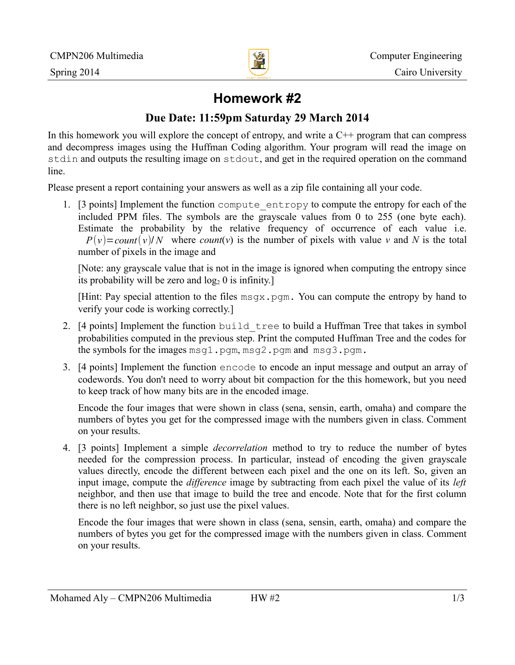

# **Homework #2**

## **Due Date: 11:59pm Saturday 29 March 2014**

In this homework you will explore the concept of entropy, and write a  $C_{++}$  program that can compress and decompress images using the Huffman Coding algorithm. Your program will read the image on stdin and outputs the resulting image on stdout, and get in the required operation on the command line.

Please present a report containing your answers as well as a zip file containing all your code.

1. [3 points] Implement the function compute\_entropy to compute the entropy for each of the included PPM files. The symbols are the grayscale values from 0 to 255 (one byte each). Estimate the probability by the relative frequency of occurrence of each value i.e.  $P(v) = count(v)/N$  where *count*(*v*) is the number of pixels with value *v* and *N* is the total number of pixels in the image and

[Note: any grayscale value that is not in the image is ignored when computing the entropy since its probability will be zero and  $log_2 0$  is infinity.]

[Hint: Pay special attention to the files  $msqx$ , pqm. You can compute the entropy by hand to verify your code is working correctly.]

- 2. [4 points] Implement the function build tree to build a Huffman Tree that takes in symbol probabilities computed in the previous step. Print the computed Huffman Tree and the codes for the symbols for the images msg1.pgm, msg2.pgm and msg3.pgm.
- 3. [4 points] Implement the function encode to encode an input message and output an array of codewords. You don't need to worry about bit compaction for the this homework, but you need to keep track of how many bits are in the encoded image.

Encode the four images that were shown in class (sena, sensin, earth, omaha) and compare the numbers of bytes you get for the compressed image with the numbers given in class. Comment on your results.

4. [3 points] Implement a simple *decorrelation* method to try to reduce the number of bytes needed for the compression process. In particular, instead of encoding the given grayscale values directly, encode the different between each pixel and the one on its left. So, given an input image, compute the *difference* image by subtracting from each pixel the value of its *left* neighbor, and then use that image to build the tree and encode. Note that for the first column there is no left neighbor, so just use the pixel values.

Encode the four images that were shown in class (sena, sensin, earth, omaha) and compare the numbers of bytes you get for the compressed image with the numbers given in class. Comment on your results.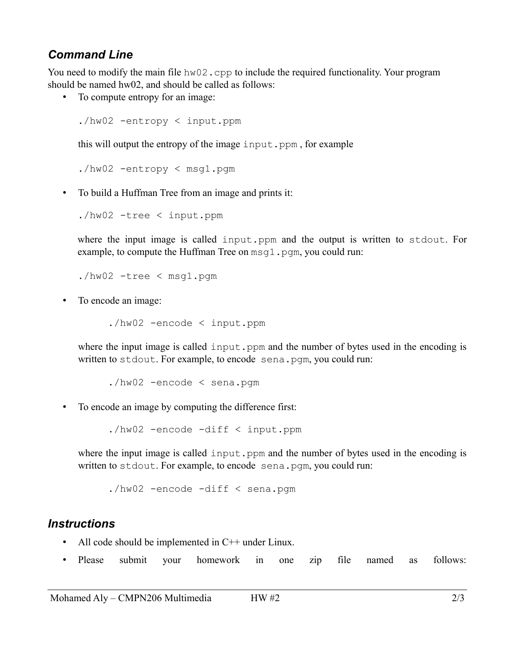### *Command Line*

You need to modify the main file  $hw02$ .cpp to include the required functionality. Your program should be named hw02, and should be called as follows:

• To compute entropy for an image:

./hw02 -entropy < input.ppm

this will output the entropy of the image input.ppm, for example

./hw02 -entropy < msg1.pgm

• To build a Huffman Tree from an image and prints it:

./hw02 -tree < input.ppm

where the input image is called input.ppm and the output is written to stdout. For example, to compute the Huffman Tree on  $msq1$ . pqm, you could run:

./hw02 -tree < msg1.pgm

• To encode an image:

./hw02 -encode < input.ppm

where the input image is called input.ppm and the number of bytes used in the encoding is written to stdout. For example, to encode sena.pgm, you could run:

./hw02 -encode < sena.pgm

• To encode an image by computing the difference first:

./hw02 -encode -diff < input.ppm

where the input image is called input.ppm and the number of bytes used in the encoding is written to stdout. For example, to encode sena.pgm, you could run:

./hw02 -encode -diff < sena.pgm

#### *Instructions*

- All code should be implemented in C++ under Linux.
- Please submit your homework in one zip file named as follows: